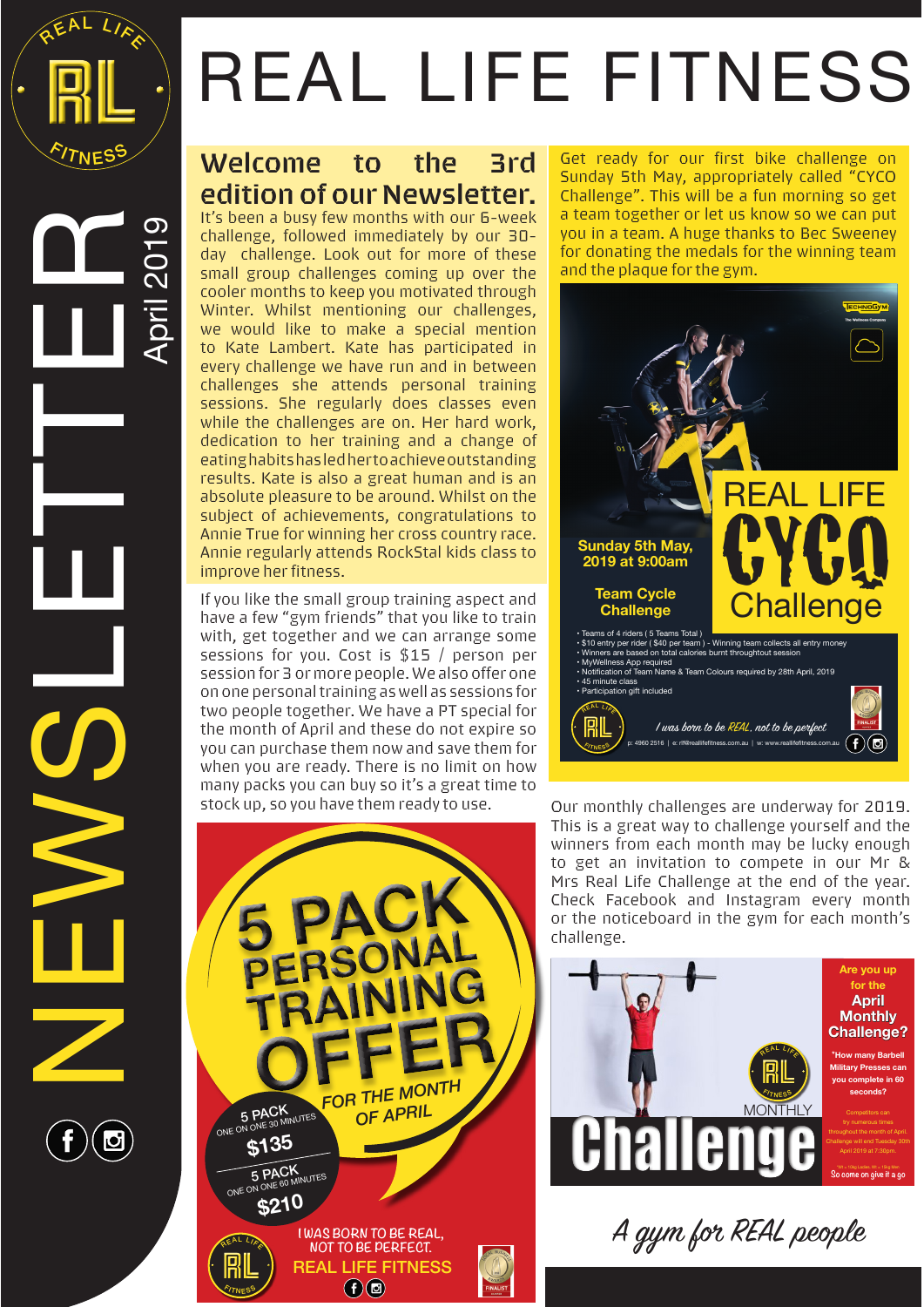

April 2019

NEWSLETTER<br>Novemer

## REAL LIFE FITNESS

## **Welcome to the 3rd edition of our Newsletter.**

It's been a busy few months with our 6-week challenge, followed immediately by our 30 day challenge. Look out for more of these small group challenges coming up over the cooler months to keep you motivated through Winter. Whilst mentioning our challenges, we would like to make a special mention to Kate Lambert. Kate has participated in every challenge we have run and in between challenges she attends personal training sessions. She regularly does classes even while the challenges are on. Her hard work, dedication to her training and a change of eating habits has led her to achieve outstanding results. Kate is also a great human and is an absolute pleasure to be around. Whilst on the subject of achievements, congratulations to Annie True for winning her cross country race. Annie regularly attends RockStal kids class to improve her fitness.

If you like the small group training aspect and have a few "gym friends" that you like to train with, get together and we can arrange some sessions for you. Cost is \$15 / person per session for 3 or more people. We also offer one on one personal training as well as sessions for two people together. We have a PT special for the month of April and these do not expire so you can purchase them now and save them for when you are ready. There is no limit on how many packs you can buy so it's a great time to stock up, so you have them ready to use. Our monthly challenges are underway for 2019.







This is a great way to challenge yourself and the winners from each month may be lucky enough to get an invitation to compete in our Mr & Mrs Real Life Challenge at the end of the year. Check Facebook and Instagram every month or the noticeboard in the gym for each month's challenge.



A gym for REAL people